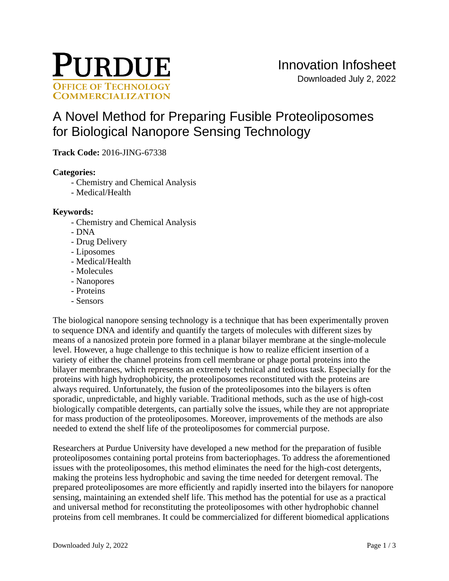

# [A Novel Method for Preparing Fusible Proteoliposomes](https://inventions.prf.org/innovation/5851)  [for Biological Nanopore Sensing Technology](https://inventions.prf.org/innovation/5851)

## **Track Code:** 2016-JING-67338

### **Categories:**

- Chemistry and Chemical Analysis
- Medical/Health

#### **Keywords:**

- Chemistry and Chemical Analysis
- DNA
- Drug Delivery
- Liposomes
- Medical/Health
- Molecules
- Nanopores
- Proteins
- Sensors

The biological nanopore sensing technology is a technique that has been experimentally proven to sequence DNA and identify and quantify the targets of molecules with different sizes by means of a nanosized protein pore formed in a planar bilayer membrane at the single-molecule level. However, a huge challenge to this technique is how to realize efficient insertion of a variety of either the channel proteins from cell membrane or phage portal proteins into the bilayer membranes, which represents an extremely technical and tedious task. Especially for the proteins with high hydrophobicity, the proteoliposomes reconstituted with the proteins are always required. Unfortunately, the fusion of the proteoliposomes into the bilayers is often sporadic, unpredictable, and highly variable. Traditional methods, such as the use of high-cost biologically compatible detergents, can partially solve the issues, while they are not appropriate for mass production of the proteoliposomes. Moreover, improvements of the methods are also needed to extend the shelf life of the proteoliposomes for commercial purpose.

Researchers at Purdue University have developed a new method for the preparation of fusible proteoliposomes containing portal proteins from bacteriophages. To address the aforementioned issues with the proteoliposomes, this method eliminates the need for the high-cost detergents, making the proteins less hydrophobic and saving the time needed for detergent removal. The prepared proteoliposomes are more efficiently and rapidly inserted into the bilayers for nanopore sensing, maintaining an extended shelf life. This method has the potential for use as a practical and universal method for reconstituting the proteoliposomes with other hydrophobic channel proteins from cell membranes. It could be commercialized for different biomedical applications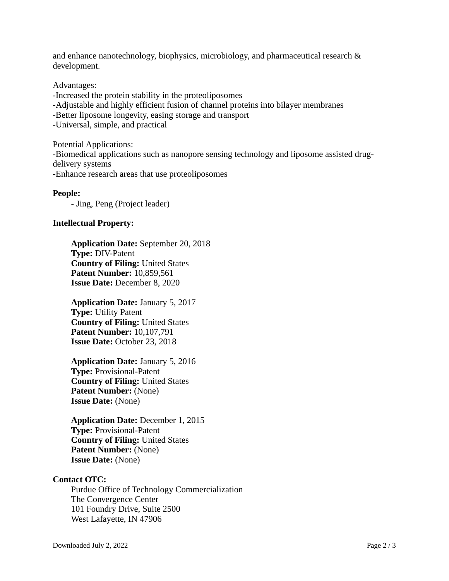and enhance nanotechnology, biophysics, microbiology, and pharmaceutical research & development.

Advantages:

-Increased the protein stability in the proteoliposomes

- -Adjustable and highly efficient fusion of channel proteins into bilayer membranes
- -Better liposome longevity, easing storage and transport

-Universal, simple, and practical

Potential Applications: -Biomedical applications such as nanopore sensing technology and liposome assisted drugdelivery systems -Enhance research areas that use proteoliposomes

**People:** 

- Jing, Peng (Project leader)

#### **Intellectual Property:**

**Application Date:** September 20, 2018 **Type:** DIV-Patent **Country of Filing:** United States **Patent Number:** 10,859,561 **Issue Date:** December 8, 2020

**Application Date:** January 5, 2017 **Type:** Utility Patent **Country of Filing:** United States **Patent Number:** 10,107,791 **Issue Date: October 23, 2018** 

**Application Date:** January 5, 2016 **Type:** Provisional-Patent **Country of Filing:** United States **Patent Number:** (None) **Issue Date:** (None)

**Application Date:** December 1, 2015 **Type:** Provisional-Patent **Country of Filing:** United States **Patent Number:** (None) **Issue Date:** (None)

#### **Contact OTC:**

Purdue Office of Technology Commercialization The Convergence Center 101 Foundry Drive, Suite 2500 West Lafayette, IN 47906